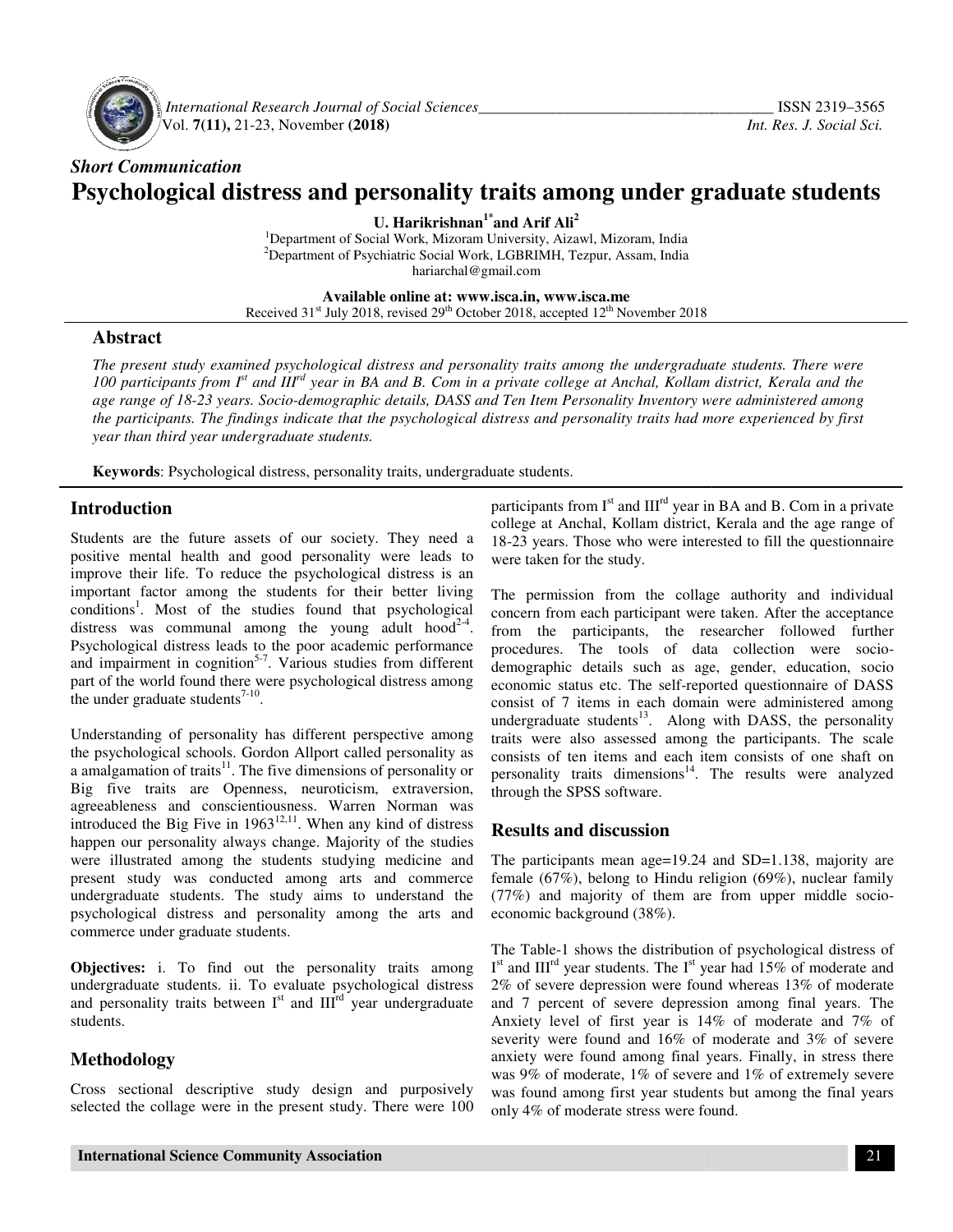

 *International Research Journal Journal of Social Sciences\_\_\_\_\_\_\_\_\_\_\_\_\_\_\_\_\_\_\_\_\_\_\_\_\_\_\_\_\_\_\_\_\_\_\_* Vol. **7(11),** 21-23, November **(2018) (2018)**

# *Short Communication*  **Psychological distress and personality traits among under graduate students**

**U. Harikrishnan1\*and Arif Ali<sup>2</sup>**

<sup>1</sup>Department of Social Work, Mizoram University, Aizawl, Mizoram, India <sup>2</sup>Department of Psychiatric Social Work, LGBRIMH, Tezpur, Assam, India<br>hariarchal@gmail.com

**Available Available online at: www.isca.in, www.isca.me**  Received 31<sup>st</sup> July 2018, revised 29<sup>th</sup> October 2018, accepted 12<sup>th</sup> November 2018

#### **Abstract**

*The present study examined psychological distress and personality traits among the undergraduate students. There were*  The present study examined psychological distress and personality traits among the undergraduate students. There were<br>100 participants from I<sup>st</sup> and III<sup>rd</sup> year in BA and B. Com in a private college at Anchal, Kollam dis age range of 18-23 years. Socio-demographic details, DASS and Ten Item Personality Inventory were administered among<br>the participants. The findings indicate that the psychological distress and personality traits had more e *the participants. The findings indicate that the psychological distress and personality traits had more experienc findings had year than third year undergraduate students.*

Keywords: Psychological distress, personality traits, undergraduate students.

## **Introduction**

Students are the future assets of our society. They need a positive mental health and good personality were leads to improve their life. To reduce the psychological distress is an important factor among the students for their better living conditions<sup>1</sup>. Most of the studies found that psychological distress was communal among the young adult hood<sup>2-4</sup>. Psychological distress leads to the poor academic performance and impairment in cognition<sup>5-7</sup>. Various studies from different part of the world found there were psychological distress among the under graduate students $7-10$ . future assets of our society. They need a<br>health and good personality were leads to<br>e. To reduce the psychological distress is ar<br>among the studies for their better living<br>at of the studies found that psychologica<br>mmunal

Understanding of personality has different perspective among the psychological schools. Gordon Allport called personality as a amalgamation of traits $11$ . The five dimensions of personality or Big five traits are Openness, neuroticism, extraversion, agreeableness and conscientiousness. Warren Norman was introduced the Big Five in  $1963^{12,11}$ . When any kind of distress happen our personality always change. Majority of the studies were illustrated among the students studying medicine and present study was conducted among arts undergraduate students. The study aims to understand the psychological distress and personality among the arts and commerce under graduate students. Psychological distress leads to the poor academic performance<br>and impairment in cognition<sup>5-7</sup>. Various studies from different<br>part of the world found there were psychological distress among<br>the under graduate students<sup>7-</sup>

**Objectives:** i. To find out the personality traits among undergraduate students. ii. To evaluate psychological distress and personality traits between  $I<sup>st</sup>$  and  $III<sup>rd</sup>$  year undergraduate students. Exercise is students. The study aims to understand the<br>distress and personality among the arts and<br>der graduate students.<br>i. To find out the personality traits among<br>extudents. ii. To evaluate psychological distress<br>ty tr

#### **Methodology**

Cross sectional descriptive study design and purposively selected the collage were in the present study. There were 100

participants from  $I<sup>st</sup>$  and  $III<sup>rd</sup>$  year in BA and B. Com in a private college at Anchal, Kollam district, Kerala and the age range of 18-23 years. Those who were interested to fill the questionnaire were taken for the study. college at Anchal, Kollam district, Kerala and the age range of 18-23 years. Those who were interested to fill the questionnaire were taken for the study.<br>The permission from the collage authority and individual

concern from each participant were taken. After the acceptance from the participants, the researcher followed further concern from each participant were taken. After the acceptance<br>from the participants, the researcher followed further<br>procedures. The tools of data collection were sociodemographic details such as age, gender, education, socio economic status etc. The self-reported questionnaire of DASS consist of 7 items in each domain were administered among undergraduate students $13$ . Along with DASS, the personality traits were also assessed among the participants. The scale traits were also assessed among the participants. The scale consists of ten items and each item consists of one shaft on personality traits dimensions $14$ . The results were analyzed through the SPSS software. ic details such as age, gender, education, socio<br>status etc. The self-reported questionnaire of DASS<br>7 items in each domain were administered among<br>ate students<sup>13</sup>. Along with DASS, the personality

#### **Results and discussion**

The participants mean age=19.24 and SD=1.138, majority are female (67%), belong to Hindu religion (69%), nuclear family personality traits dimensions<sup>14</sup>. The results were analyzed<br>through the SPSS software.<br>**Results and discussion**<br>The participants mean age=19.24 and SD=1.138, majority are<br>female (67%), belong to Hindu religion (69%), nuc economic background (38%).

The Table-1 shows the distribution of psychological distress of I<sup>st</sup> and III<sup>rd</sup> year students. The I<sup>st</sup> year had 15% of moderate and 2% of severe depression were found whereas 13% of moderate and 7 percent of severe depression among final years. The Anxiety level of first year is 14% of moderate and 7% of severity were found and 16% of moderate and 3% of severe anxiety were found among final years. Finally, in stress there was 9% of moderate, 1% of severe and 1% of extremely severe was found among first year students but among the final years only 4% of moderate stress were found. and 7 percent of severe depression among final years. The Anxiety level of first year is  $14\%$  of moderate and  $7\%$  of severe anxiety were found among final years. Finally, in stress there was 9% of moderate,  $1\%$  of s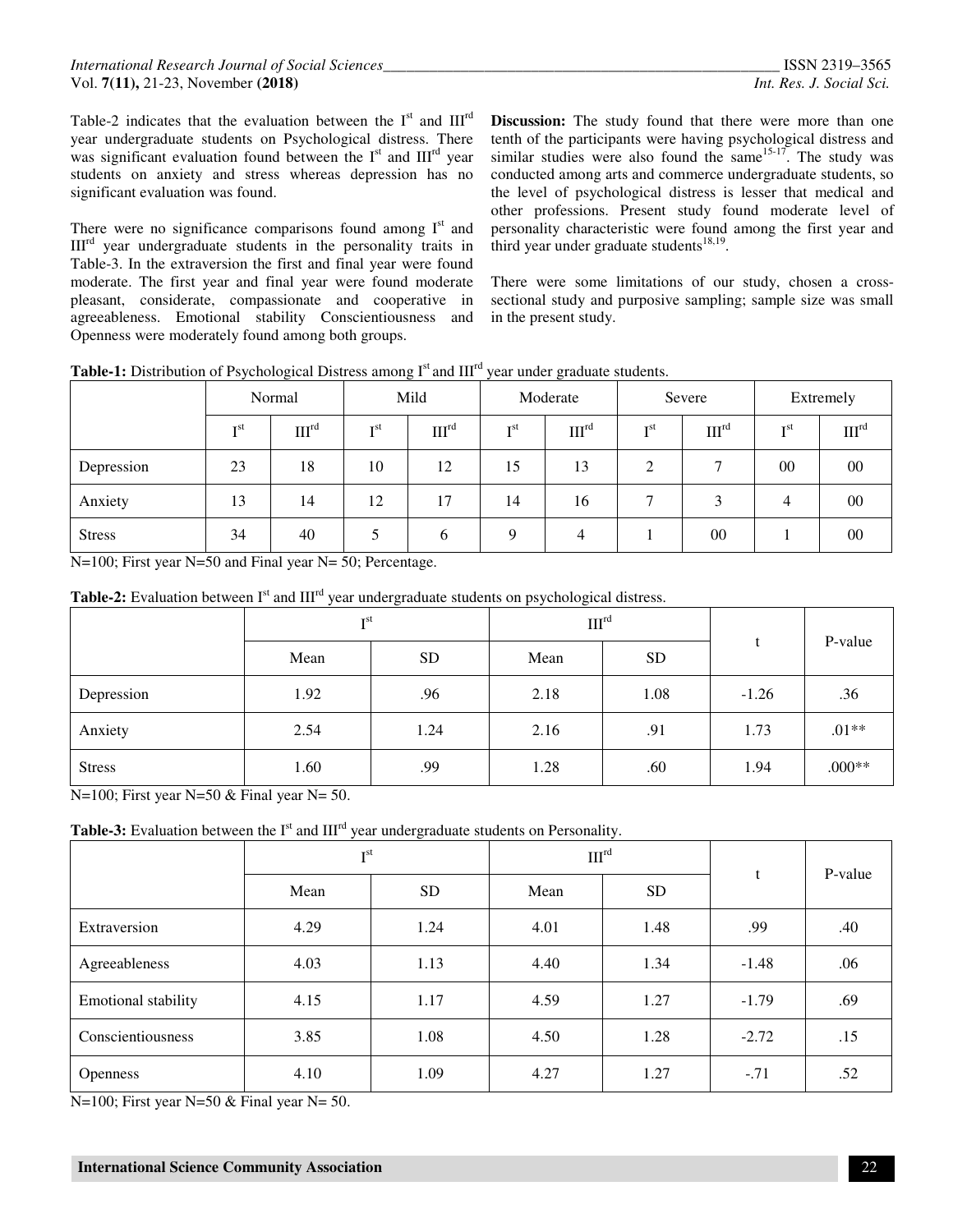Table-2 indicates that the evaluation between the  $I<sup>st</sup>$  and  $III<sup>rd</sup>$ year undergraduate students on Psychological distress. There was significant evaluation found between the  $I<sup>st</sup>$  and  $III<sup>rd</sup>$  year students on anxiety and stress whereas depression has no significant evaluation was found.

There were no significance comparisons found among  $I<sup>st</sup>$  and  $III<sup>rd</sup>$  year undergraduate students in the personality traits in Table-3. In the extraversion the first and final year were found moderate. The first year and final year were found moderate pleasant, considerate, compassionate and cooperative in agreeableness. Emotional stability Conscientiousness and Openness were moderately found among both groups.

**Discussion:** The study found that there were more than one tenth of the participants were having psychological distress and similar studies were also found the same  $15-17$ . The study was conducted among arts and commerce undergraduate students, so the level of psychological distress is lesser that medical and other professions. Present study found moderate level of personality characteristic were found among the first year and third year under graduate students $18,19$ .

There were some limitations of our study, chosen a crosssectional study and purposive sampling; sample size was small in the present study.

|  | <b>Table-1:</b> Distribution of Psychological Distress among $Ist$ and $IIIrd$ year under graduate students. |
|--|--------------------------------------------------------------------------------------------------------------|
|--|--------------------------------------------------------------------------------------------------------------|

|               | Normal          |                   | Mild            |                   | Moderate        |                   | Severe          |                   | Extremely       |                   |
|---------------|-----------------|-------------------|-----------------|-------------------|-----------------|-------------------|-----------------|-------------------|-----------------|-------------------|
|               | I <sup>st</sup> | III <sup>rd</sup> | I <sup>st</sup> | III <sup>rd</sup> | I <sup>st</sup> | III <sup>rd</sup> | T <sub>st</sub> | III <sup>rd</sup> | T <sub>st</sub> | III <sup>rd</sup> |
| Depression    | 23              | 18                | 10              | 12                | 15              | 13                | ◠               |                   | 00              | $00\,$            |
| Anxiety       | 13              | 14                | 12              | 17                | 14              | 16                |                 |                   | 4               | $00\,$            |
| <b>Stress</b> | 34              | 40                |                 | b                 | Q               | 4                 |                 | $00\,$            |                 | $00\,$            |

N=100; First year N=50 and Final year N= 50; Percentage.

Table-2: Evaluation between I<sup>st</sup> and III<sup>rd</sup> year undergraduate students on psychological distress.

|               | T <sub>st</sub> |           | III <sup>rd</sup> |           |         | P-value |
|---------------|-----------------|-----------|-------------------|-----------|---------|---------|
|               | Mean            | <b>SD</b> | Mean              | <b>SD</b> |         |         |
| Depression    | 1.92            | .96       | 2.18              | 1.08      | $-1.26$ | .36     |
| Anxiety       | 2.54            | 1.24      | 2.16              | .91       | 1.73    | $.01**$ |
| <b>Stress</b> | 1.60            | .99       | 1.28              | .60       | 1.94    | $000**$ |

N=100; First year N=50  $&$  Final year N= 50.

Table-3: Evaluation between the I<sup>st</sup> and III<sup>rd</sup> year undergraduate students on Personality.

|                            | T <sub>st</sub> |           | III <sup>rd</sup> |           |         | P-value |
|----------------------------|-----------------|-----------|-------------------|-----------|---------|---------|
|                            | Mean            | <b>SD</b> | Mean              | <b>SD</b> | t       |         |
| Extraversion               | 4.29            | 1.24      | 4.01              | 1.48      | .99     | .40     |
| Agreeableness              | 4.03            | 1.13      | 4.40              | 1.34      | $-1.48$ | .06     |
| <b>Emotional stability</b> | 4.15            | 1.17      | 4.59              | 1.27      | $-1.79$ | .69     |
| Conscientiousness          | 3.85            | 1.08      | 4.50              | 1.28      | $-2.72$ | .15     |
| <b>Openness</b>            | 4.10            | 1.09      | 4.27              | 1.27      | $-.71$  | .52     |

N=100; First year N=50  $&$  Final year N= 50.